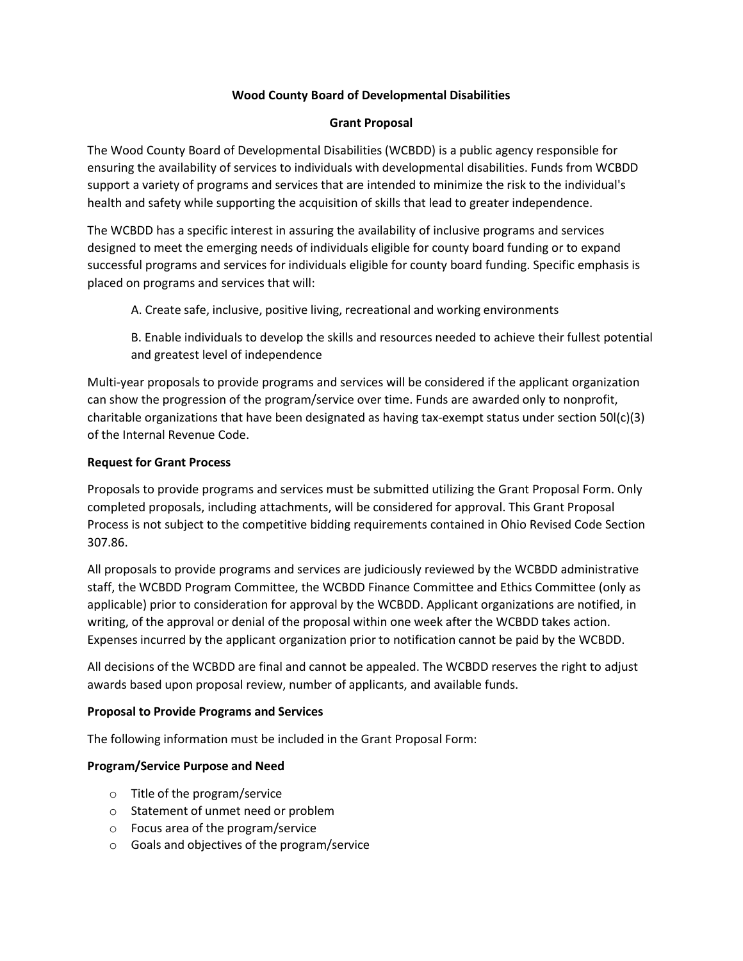## **Wood County Board of Developmental Disabilities**

## **Grant Proposal**

The Wood County Board of Developmental Disabilities (WCBDD) is a public agency responsible for ensuring the availability of services to individuals with developmental disabilities. Funds from WCBDD support a variety of programs and services that are intended to minimize the risk to the individual's health and safety while supporting the acquisition of skills that lead to greater independence.

The WCBDD has a specific interest in assuring the availability of inclusive programs and services designed to meet the emerging needs of individuals eligible for county board funding or to expand successful programs and services for individuals eligible for county board funding. Specific emphasis is placed on programs and services that will:

A. Create safe, inclusive, positive living, recreational and working environments

B. Enable individuals to develop the skills and resources needed to achieve their fullest potential and greatest level of independence

Multi-year proposals to provide programs and services will be considered if the applicant organization can show the progression of the program/service over time. Funds are awarded only to nonprofit, charitable organizations that have been designated as having tax-exempt status under section 50l(c)(3) of the Internal Revenue Code.

## **Request for Grant Process**

Proposals to provide programs and services must be submitted utilizing the Grant Proposal Form. Only completed proposals, including attachments, will be considered for approval. This Grant Proposal Process is not subject to the competitive bidding requirements contained in Ohio Revised Code Section 307.86.

All proposals to provide programs and services are judiciously reviewed by the WCBDD administrative staff, the WCBDD Program Committee, the WCBDD Finance Committee and Ethics Committee (only as applicable) prior to consideration for approval by the WCBDD. Applicant organizations are notified, in writing, of the approval or denial of the proposal within one week after the WCBDD takes action. Expenses incurred by the applicant organization prior to notification cannot be paid by the WCBDD.

All decisions of the WCBDD are final and cannot be appealed. The WCBDD reserves the right to adjust awards based upon proposal review, number of applicants, and available funds.

## **Proposal to Provide Programs and Services**

The following information must be included in the Grant Proposal Form:

## **Program/Service Purpose and Need**

- o Title of the program/service
- o Statement of unmet need or problem
- o Focus area of the program/service
- o Goals and objectives of the program/service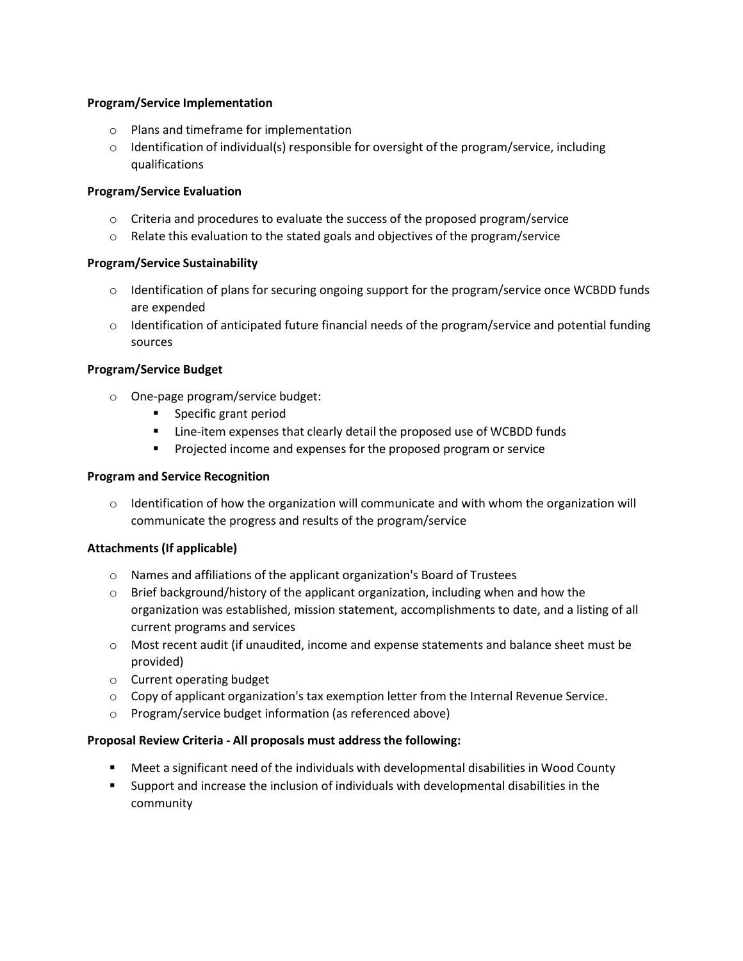## **Program/Service Implementation**

- o Plans and timeframe for implementation
- $\circ$  Identification of individual(s) responsible for oversight of the program/service, including qualifications

## **Program/Service Evaluation**

- $\circ$  Criteria and procedures to evaluate the success of the proposed program/service
- $\circ$  Relate this evaluation to the stated goals and objectives of the program/service

## **Program/Service Sustainability**

- $\circ$  Identification of plans for securing ongoing support for the program/service once WCBDD funds are expended
- $\circ$  Identification of anticipated future financial needs of the program/service and potential funding sources

## **Program/Service Budget**

- o One-page program/service budget:
	- Specific grant period
	- Line-item expenses that clearly detail the proposed use of WCBDD funds
	- **•** Projected income and expenses for the proposed program or service

## **Program and Service Recognition**

 $\circ$  Identification of how the organization will communicate and with whom the organization will communicate the progress and results of the program/service

# **Attachments (If applicable)**

- o Names and affiliations of the applicant organization's Board of Trustees
- $\circ$  Brief background/history of the applicant organization, including when and how the organization was established, mission statement, accomplishments to date, and a listing of all current programs and services
- o Most recent audit (if unaudited, income and expense statements and balance sheet must be provided)
- o Current operating budget
- $\circ$  Copy of applicant organization's tax exemption letter from the Internal Revenue Service.
- o Program/service budget information (as referenced above)

## **Proposal Review Criteria - All proposals must addressthe following:**

- Meet a significant need of the individuals with developmental disabilities in Wood County
- Support and increase the inclusion of individuals with developmental disabilities in the community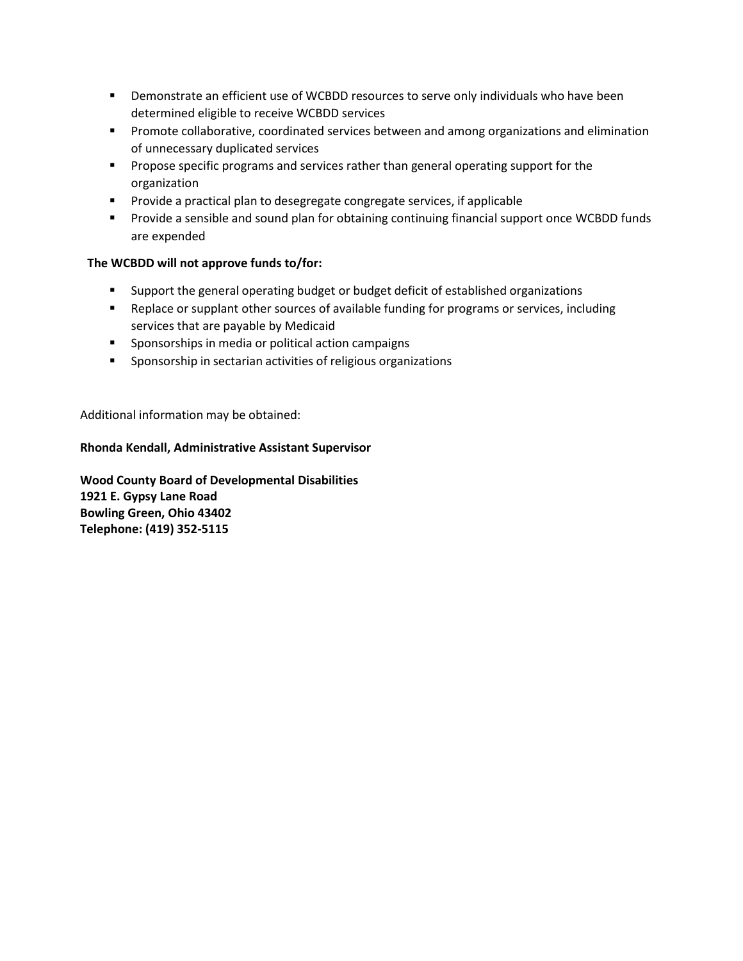- **•** Demonstrate an efficient use of WCBDD resources to serve only individuals who have been determined eligible to receive WCBDD services
- Promote collaborative, coordinated services between and among organizations and elimination of unnecessary duplicated services
- **•** Propose specific programs and services rather than general operating support for the organization
- Provide a practical plan to desegregate congregate services, if applicable
- Provide a sensible and sound plan for obtaining continuing financial support once WCBDD funds are expended

# **The WCBDD will not approve funds to/for:**

- Support the general operating budget or budget deficit of established organizations
- Replace or supplant other sources of available funding for programs or services, including services that are payable by Medicaid
- Sponsorships in media or political action campaigns
- Sponsorship in sectarian activities of religious organizations

Additional information may be obtained:

## **Rhonda Kendall, Administrative Assistant Supervisor**

**Wood County Board of Developmental Disabilities 1921 E. Gypsy Lane Road Bowling Green, Ohio 43402 Telephone: (419) 352-5115**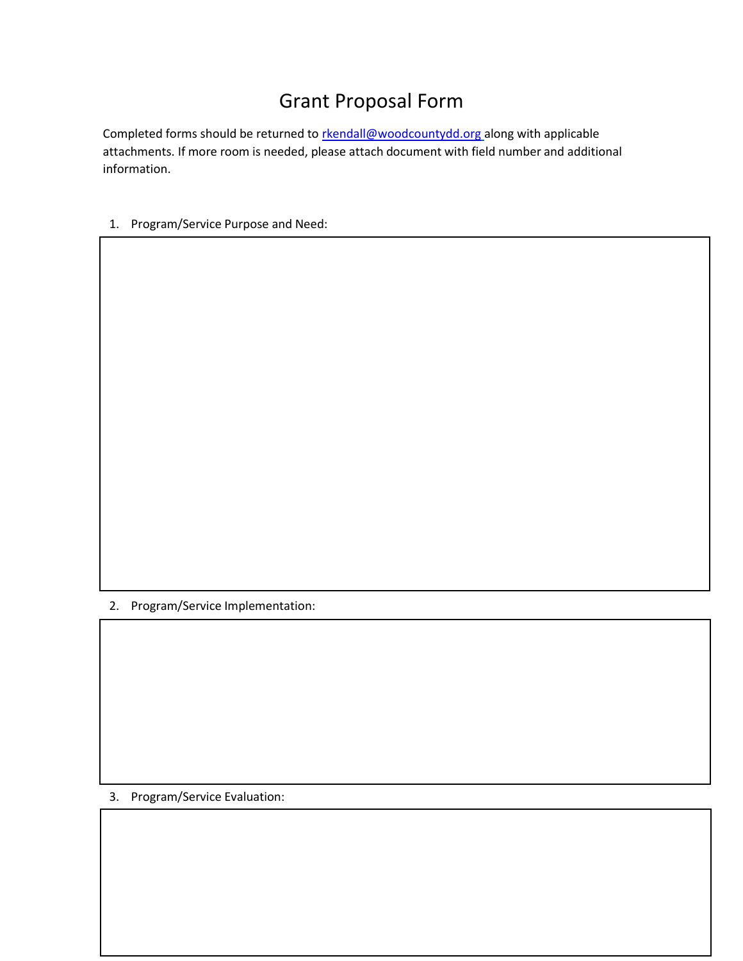# Grant Proposal Form

Completed forms should be returned to [rkendall@woodcountydd.org](mailto:rkendall@woodcountydd.org) along with applicable attachments. If more room is needed, please attach document with field number and additional information.

1. Program/Service Purpose and Need:

2. Program/Service Implementation:

3. Program/Service Evaluation: